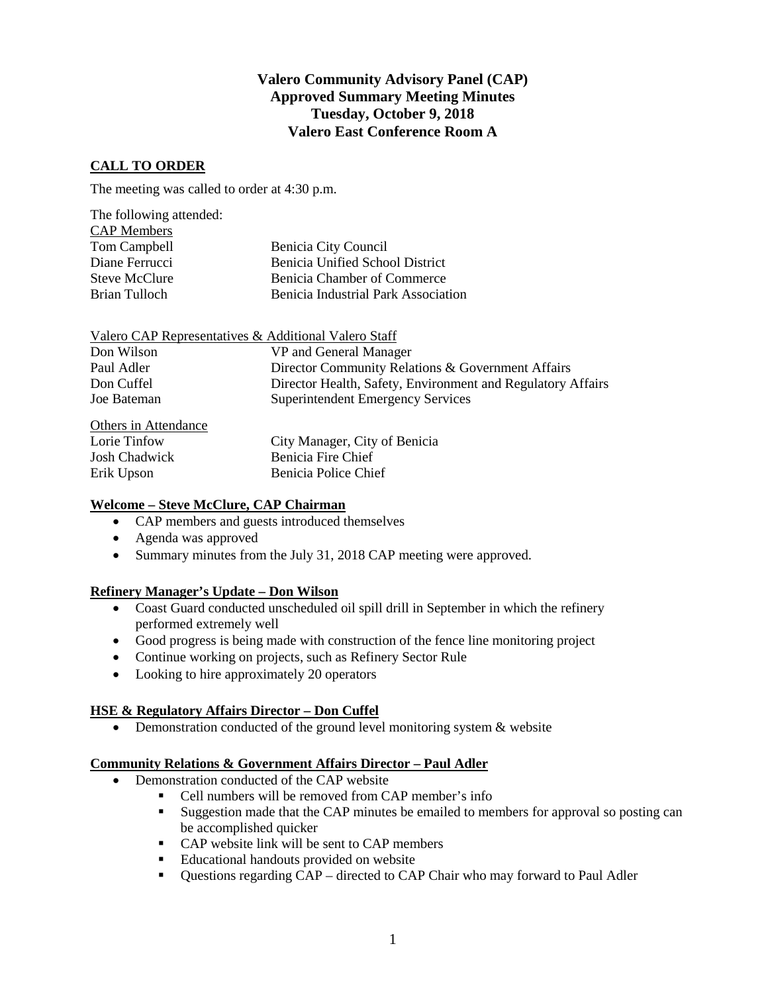# **Valero Community Advisory Panel (CAP) Approved Summary Meeting Minutes Tuesday, October 9, 2018 Valero East Conference Room A**

### **CALL TO ORDER**

The meeting was called to order at 4:30 p.m.

| The following attended:<br><b>CAP</b> Members |                                        |
|-----------------------------------------------|----------------------------------------|
| Tom Campbell                                  | Benicia City Council                   |
| Diane Ferrucci                                | <b>Benicia Unified School District</b> |
| <b>Steve McClure</b>                          | Benicia Chamber of Commerce            |
| Brian Tulloch                                 | Benicia Industrial Park Association    |

|                      | Valero CAP Representatives & Additional Valero Staff        |
|----------------------|-------------------------------------------------------------|
| Don Wilson           | VP and General Manager                                      |
| Paul Adler           | Director Community Relations & Government Affairs           |
| Don Cuffel           | Director Health, Safety, Environment and Regulatory Affairs |
| Joe Bateman          | <b>Superintendent Emergency Services</b>                    |
| Others in Attendance |                                                             |

| <u>Ouiolo III i iuoliumito</u> |                               |
|--------------------------------|-------------------------------|
| Lorie Tinfow                   | City Manager, City of Benicia |
| Josh Chadwick                  | Benicia Fire Chief            |
| Erik Upson                     | Benicia Police Chief          |

#### **Welcome – Steve McClure, CAP Chairman**

- CAP members and guests introduced themselves
- Agenda was approved
- Summary minutes from the July 31, 2018 CAP meeting were approved.

#### **Refinery Manager's Update – Don Wilson**

- Coast Guard conducted unscheduled oil spill drill in September in which the refinery performed extremely well
- Good progress is being made with construction of the fence line monitoring project
- Continue working on projects, such as Refinery Sector Rule
- Looking to hire approximately 20 operators

## **HSE & Regulatory Affairs Director – Don Cuffel**

• Demonstration conducted of the ground level monitoring system & website

#### **Community Relations & Government Affairs Director – Paul Adler**

- Demonstration conducted of the CAP website
	- Cell numbers will be removed from CAP member's info
	- Suggestion made that the CAP minutes be emailed to members for approval so posting can be accomplished quicker
	- CAP website link will be sent to CAP members
	- Educational handouts provided on website
	- Questions regarding CAP directed to CAP Chair who may forward to Paul Adler